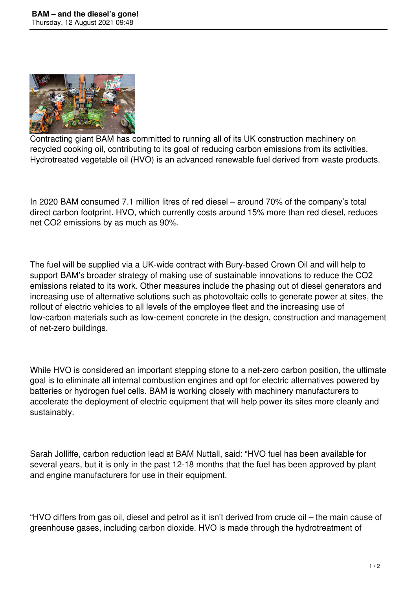

Contracting giant BAM has committed to running all of its UK construction machinery on recycled cooking oil, contributing to its goal of reducing carbon emissions from its activities. Hydrotreated vegetable oil (HVO) is an advanced renewable fuel derived from waste products.

In 2020 BAM consumed 7.1 million litres of red diesel – around 70% of the company's total direct carbon footprint. HVO, which currently costs around 15% more than red diesel, reduces net CO2 emissions by as much as 90%.

The fuel will be supplied via a UK-wide contract with Bury-based Crown Oil and will help to support BAM's broader strategy of making use of sustainable innovations to reduce the CO2 emissions related to its work. Other measures include the phasing out of diesel generators and increasing use of alternative solutions such as photovoltaic cells to generate power at sites, the rollout of electric vehicles to all levels of the employee fleet and the increasing use of low-carbon materials such as low-cement concrete in the design, construction and management of net-zero buildings.

While HVO is considered an important stepping stone to a net-zero carbon position, the ultimate goal is to eliminate all internal combustion engines and opt for electric alternatives powered by batteries or hydrogen fuel cells. BAM is working closely with machinery manufacturers to accelerate the deployment of electric equipment that will help power its sites more cleanly and sustainably.

Sarah Jolliffe, carbon reduction lead at BAM Nuttall, said: "HVO fuel has been available for several years, but it is only in the past 12-18 months that the fuel has been approved by plant and engine manufacturers for use in their equipment.

"HVO differs from gas oil, diesel and petrol as it isn't derived from crude oil – the main cause of greenhouse gases, including carbon dioxide. HVO is made through the hydrotreatment of